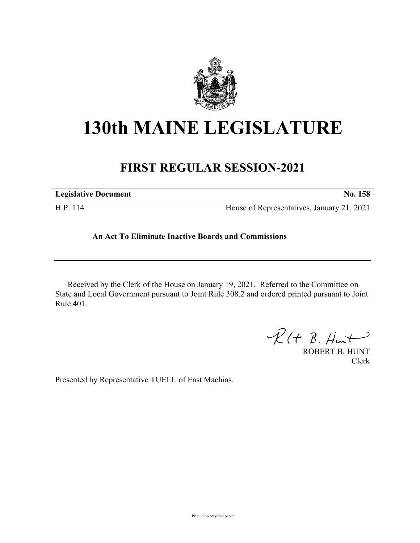

## **130th MAINE LEGISLATURE**

## **FIRST REGULAR SESSION-2021**

| <b>Legislative Document</b> | No. 158                                    |
|-----------------------------|--------------------------------------------|
| H.P. 114                    | House of Representatives, January 21, 2021 |

## **An Act To Eliminate Inactive Boards and Commissions**

Received by the Clerk of the House on January 19, 2021. Referred to the Committee on State and Local Government pursuant to Joint Rule 308.2 and ordered printed pursuant to Joint Rule 401.

 $\mathcal{R}(t \; \mathcal{B}, \mathcal{H}_{\mathsf{int}})$ 

ROBERT B. HUNT Clerk

Presented by Representative TUELL of East Machias.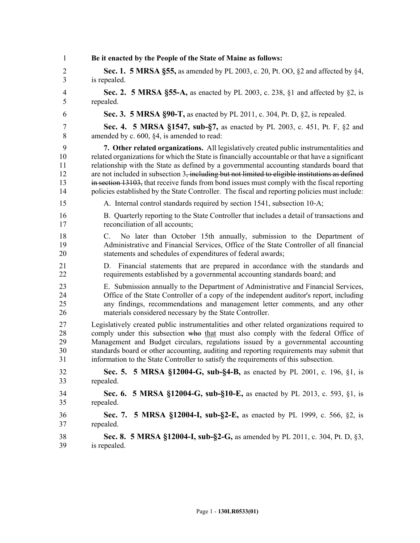| 1              | Be it enacted by the People of the State of Maine as follows:                                                                                                                                                                                |
|----------------|----------------------------------------------------------------------------------------------------------------------------------------------------------------------------------------------------------------------------------------------|
| 2              | <b>Sec. 1. 5 MRSA §55,</b> as amended by PL 2003, c. 20, Pt. OO, §2 and affected by §4,                                                                                                                                                      |
| $\overline{3}$ | is repealed.                                                                                                                                                                                                                                 |
| 4              | Sec. 2. 5 MRSA §55-A, as enacted by PL 2003, c. 238, §1 and affected by §2, is                                                                                                                                                               |
| 5              | repealed.                                                                                                                                                                                                                                    |
| 6              | Sec. 3. 5 MRSA §90-T, as enacted by PL 2011, c. 304, Pt. D, §2, is repealed.                                                                                                                                                                 |
| $\overline{7}$ | Sec. 4. 5 MRSA §1547, sub-§7, as enacted by PL 2003, c. 451, Pt. F, §2 and                                                                                                                                                                   |
| $\,8\,$        | amended by c. 600, §4, is amended to read:                                                                                                                                                                                                   |
| 9              | 7. Other related organizations. All legislatively created public instrumentalities and                                                                                                                                                       |
| 10             | related organizations for which the State is financially accountable or that have a significant                                                                                                                                              |
| 11             | relationship with the State as defined by a governmental accounting standards board that                                                                                                                                                     |
| 12             | are not included in subsection 3, including but not limited to eligible institutions as defined                                                                                                                                              |
| 13             | in section 13103, that receive funds from bond issues must comply with the fiscal reporting                                                                                                                                                  |
| 14             | policies established by the State Controller. The fiscal and reporting policies must include:                                                                                                                                                |
| 15             | A. Internal control standards required by section 1541, subsection 10-A;                                                                                                                                                                     |
| 16             | B. Quarterly reporting to the State Controller that includes a detail of transactions and                                                                                                                                                    |
| 17             | reconciliation of all accounts;                                                                                                                                                                                                              |
| 18<br>19<br>20 | $C_{\cdot}$<br>No later than October 15th annually, submission to the Department of<br>Administrative and Financial Services, Office of the State Controller of all financial<br>statements and schedules of expenditures of federal awards; |
| 21<br>22       | Financial statements that are prepared in accordance with the standards and<br>D.<br>requirements established by a governmental accounting standards board; and                                                                              |
| 23             | E. Submission annually to the Department of Administrative and Financial Services,                                                                                                                                                           |
| 24             | Office of the State Controller of a copy of the independent auditor's report, including                                                                                                                                                      |
| 25             | any findings, recommendations and management letter comments, and any other                                                                                                                                                                  |
| 26             | materials considered necessary by the State Controller.                                                                                                                                                                                      |
| 27             | Legislatively created public instrumentalities and other related organizations required to                                                                                                                                                   |
| 28             | comply under this subsection who that must also comply with the federal Office of                                                                                                                                                            |
| 29             | Management and Budget circulars, regulations issued by a governmental accounting                                                                                                                                                             |
| 30             | standards board or other accounting, auditing and reporting requirements may submit that                                                                                                                                                     |
| 31             | information to the State Controller to satisfy the requirements of this subsection.                                                                                                                                                          |
| 32             | Sec. 5. 5 MRSA §12004-G, sub-§4-B, as enacted by PL 2001, c. 196, §1, is                                                                                                                                                                     |
| 33             | repealed.                                                                                                                                                                                                                                    |
| 34             | Sec. 6. 5 MRSA §12004-G, sub-§10-E, as enacted by PL 2013, c. 593, §1, is                                                                                                                                                                    |
| 35             | repealed.                                                                                                                                                                                                                                    |
| 36<br>37       | <b>5 MRSA §12004-I, sub-§2-E, as enacted by PL 1999, c. 566, §2, is</b><br>Sec. 7.<br>repealed.                                                                                                                                              |
| 38             | Sec. 8. 5 MRSA §12004-I, sub-§2-G, as amended by PL 2011, c. 304, Pt. D, §3,                                                                                                                                                                 |
| 39             | is repealed.                                                                                                                                                                                                                                 |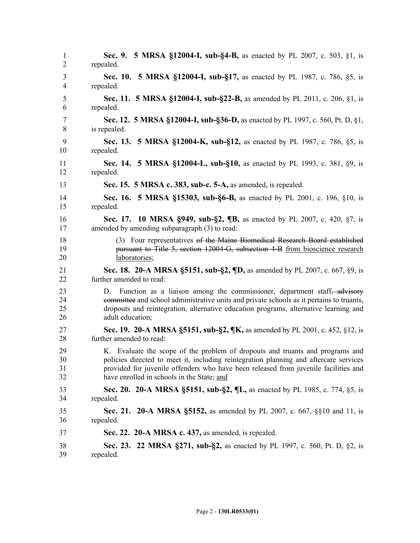| 1                    | Sec. 9. 5 MRSA §12004-I, sub-§4-B, as enacted by PL 2007, c. 503, §1, is                                                                                                                                                                                                               |
|----------------------|----------------------------------------------------------------------------------------------------------------------------------------------------------------------------------------------------------------------------------------------------------------------------------------|
| 2                    | repealed.                                                                                                                                                                                                                                                                              |
| 3                    | Sec. 10. 5 MRSA §12004-I, sub-§17, as enacted by PL 1987, c. 786, §5, is                                                                                                                                                                                                               |
| $\overline{4}$       | repealed.                                                                                                                                                                                                                                                                              |
| 5                    | Sec. 11. 5 MRSA §12004-I, sub-§22-B, as amended by PL 2011, c. 206, §1, is                                                                                                                                                                                                             |
| 6                    | repealed.                                                                                                                                                                                                                                                                              |
| 7                    | Sec. 12. 5 MRSA §12004-I, sub-§36-D, as enacted by PL 1997, c. 560, Pt. D, §1,                                                                                                                                                                                                         |
| 8                    | is repealed.                                                                                                                                                                                                                                                                           |
| 9                    | Sec. 13. 5 MRSA §12004-K, sub-§12, as enacted by PL 1987, c. 786, §5, is                                                                                                                                                                                                               |
| 10                   | repealed.                                                                                                                                                                                                                                                                              |
| 11                   | Sec. 14. 5 MRSA §12004-L, sub-§10, as enacted by PL 1993, c. 381, §9, is                                                                                                                                                                                                               |
| 12                   | repealed.                                                                                                                                                                                                                                                                              |
| 13                   | Sec. 15. 5 MRSA c. 383, sub-c. 5-A, as amended, is repealed.                                                                                                                                                                                                                           |
| 14                   | <b>Sec. 16. 5 MRSA §15303, sub-§6-B, as enacted by PL 2001, c. 196, §10, is</b>                                                                                                                                                                                                        |
| 15                   | repealed.                                                                                                                                                                                                                                                                              |
| 16                   | Sec. 17. 10 MRSA §949, sub-§2, ¶B, as enacted by PL 2007, c. 420, §7, is                                                                                                                                                                                                               |
| 17                   | amended by amending subparagraph (3) to read:                                                                                                                                                                                                                                          |
| 18                   | (3) Four representatives of the Maine Biomedical Research Board established                                                                                                                                                                                                            |
| 19                   | pursuant to Title 5, section 12004-G, subsection 4-B from bioscience research                                                                                                                                                                                                          |
| 20                   | laboratories;                                                                                                                                                                                                                                                                          |
| 21                   | Sec. 18. 20-A MRSA §5151, sub-§2, ¶D, as amended by PL 2007, c. 667, §9, is                                                                                                                                                                                                            |
| 22                   | further amended to read:                                                                                                                                                                                                                                                               |
| 23<br>24<br>25<br>26 | Function as a liaison among the commissioner, department staff, advisory<br>D.<br>committee and school administrative units and private schools as it pertains to truants,<br>dropouts and reintegration, alternative education programs, alternative learning and<br>adult education; |
| 27                   | Sec. 19. 20-A MRSA §5151, sub-§2, ¶K, as amended by PL 2001, c. 452, §12, is                                                                                                                                                                                                           |
| 28                   | further amended to read:                                                                                                                                                                                                                                                               |
| 29                   | K. Evaluate the scope of the problem of dropouts and truants and programs and                                                                                                                                                                                                          |
| 30                   | policies directed to meet it, including reintegration planning and aftercare services                                                                                                                                                                                                  |
| 31                   | provided for juvenile offenders who have been released from juvenile facilities and                                                                                                                                                                                                    |
| 32                   | have enrolled in schools in the State; and                                                                                                                                                                                                                                             |
| 33                   | Sec. 20. 20-A MRSA §5151, sub-§2, ¶L, as enacted by PL 1985, c. 774, §5, is                                                                                                                                                                                                            |
| 34                   | repealed.                                                                                                                                                                                                                                                                              |
| 35                   | <b>Sec. 21. 20-A MRSA §5152,</b> as amended by PL 2007, c. 667, §§10 and 11, is                                                                                                                                                                                                        |
| 36                   | repealed.                                                                                                                                                                                                                                                                              |
| 37                   | Sec. 22. 20-A MRSA c. 437, as amended, is repealed.                                                                                                                                                                                                                                    |
| 38                   | <b>Sec. 23. 22 MRSA §271, sub-§2,</b> as enacted by PL 1997, c. 560, Pt. D, §2, is                                                                                                                                                                                                     |
| 39                   | repealed.                                                                                                                                                                                                                                                                              |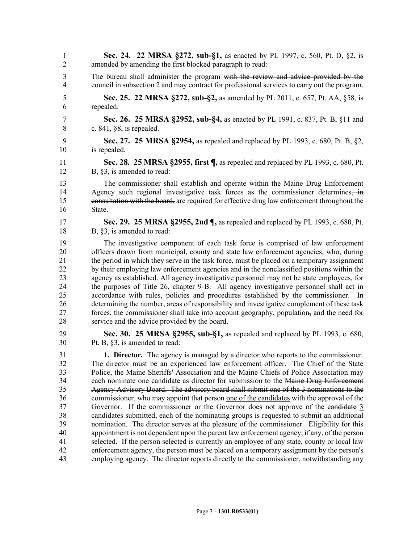1 **Sec. 24. 22 MRSA §272, sub-§1,** as enacted by PL 1997, c. 560, Pt. D, §2, is 2 amended by amending the first blocked paragraph to read: 3 The bureau shall administer the program with the review and advice provided by the <sup>4</sup> e<del>quil in subsection 2</del> and may contract for professional services to carry out the program. 5 **Sec. 25. 22 MRSA §272, sub-§2,** as amended by PL 2011, c. 657, Pt. AA, §58, is 6 repealed. 7 **Sec. 26. 25 MRSA §2952, sub-§4,** as enacted by PL 1991, c. 837, Pt. B, §11 and 8 c. 841, §8, is repealed. 9 **Sec. 27. 25 MRSA §2954,** as repealed and replaced by PL 1993, c. 680, Pt. B, §2, 10 is repealed. 11 **Sec. 28. 25 MRSA §2955, first ¶,** as repealed and replaced by PL 1993, c. 680, Pt. 12 B, §3, is amended to read: 13 The commissioner shall establish and operate within the Maine Drug Enforcement 14 Agency such regional investigative task forces as the commissioner determines, in 15 consultation with the board, are required for effective drug law enforcement throughout the 16 State. 17 **Sec. 29. 25 MRSA §2955, 2nd ¶,** as repealed and replaced by PL 1993, c. 680, Pt. 18 B, §3, is amended to read: 19 The investigative component of each task force is comprised of law enforcement 20 officers drawn from municipal, county and state law enforcement agencies, who, during 21 the period in which they serve in the task force, must be placed on a temporary assignment 22 by their employing law enforcement agencies and in the nonclassified positions within the 23 agency as established. All agency investigative personnel may not be state employees, for 24 the purposes of Title 26, chapter 9-B. All agency investigative personnel shall act in 25 accordance with rules, policies and procedures established by the commissioner. In 26 determining the number, areas of responsibility and investigative complement of these task 27 forces, the commissioner shall take into account geography, population, and the need for 28 service and the advice provided by the board. 29 **Sec. 30. 25 MRSA §2955, sub-§1,** as repealed and replaced by PL 1993, c. 680, 30 Pt. B, §3, is amended to read: 31 **1. Director.** The agency is managed by a director who reports to the commissioner. 32 The director must be an experienced law enforcement officer. The Chief of the State 33 Police, the Maine Sheriffs' Association and the Maine Chiefs of Police Association may 34 each nominate one candidate as director for submission to the Maine Drug Enforcement 35 Agency Advisory Board. The advisory board shall submit one of the 3 nominations to the 36 commissioner, who may appoint that person one of the candidates with the approval of the 37 Governor. If the commissioner or the Governor does not approve of the candidate 3 38 candidates submitted, each of the nominating groups is requested to submit an additional 39 nomination. The director serves at the pleasure of the commissioner. Eligibility for this 40 appointment is not dependent upon the parent law enforcement agency, if any, of the person 41 selected. If the person selected is currently an employee of any state, county or local law 42 enforcement agency, the person must be placed on a temporary assignment by the person's 43 employing agency. The director reports directly to the commissioner, notwithstanding any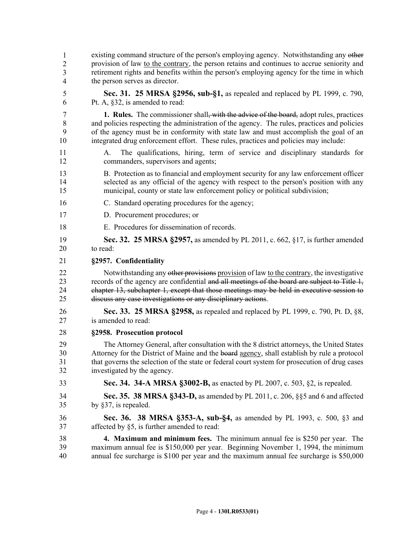existing command structure of the person's employing agency. Notwithstanding any other 45 provision of law to the contrary, the person retains and continues to accrue seniority and retirement rights and benefits within the person's employing agency for the time in which the person serves as director. 5 **Sec. 31. 25 MRSA §2956, sub-§1,** as repealed and replaced by PL 1999, c. 790, 6 Pt. A, §32, is amended to read: 7 **1. Rules.** The commissioner shall, with the advice of the board, adopt rules, practices 8 and policies respecting the administration of the agency. The rules, practices and policies 9 of the agency must be in conformity with state law and must accomplish the goal of an 10 integrated drug enforcement effort. These rules, practices and policies may include: 11 A. The qualifications, hiring, term of service and disciplinary standards for 12 commanders, supervisors and agents; 13 B. Protection as to financial and employment security for any law enforcement officer 14 selected as any official of the agency with respect to the person's position with any 15 municipal, county or state law enforcement policy or political subdivision; 16 C. Standard operating procedures for the agency; 17 D. Procurement procedures; or 18 E. Procedures for dissemination of records. 19 **Sec. 32. 25 MRSA §2957,** as amended by PL 2011, c. 662, §17, is further amended 20 to read: 21 **§2957. Confidentiality** 22 Notwithstanding any other provisions provision of law to the contrary, the investigative 23 records of the agency are confidential and all meetings of the board are subject to Title 1, 24 chapter 13, subchapter 1, except that those meetings may be held in executive session to 25 discuss any case investigations or any disciplinary actions. 26 **Sec. 33. 25 MRSA §2958,** as repealed and replaced by PL 1999, c. 790, Pt. D, §8, 27 is amended to read: 28 **§2958. Prosecution protocol** 29 The Attorney General, after consultation with the 8 district attorneys, the United States 30 Attorney for the District of Maine and the board agency, shall establish by rule a protocol 31 that governs the selection of the state or federal court system for prosecution of drug cases 32 investigated by the agency. 33 **Sec. 34. 34-A MRSA §3002-B,** as enacted by PL 2007, c. 503, §2, is repealed. 34 **Sec. 35. 38 MRSA §343-D,** as amended by PL 2011, c. 206, §§5 and 6 and affected 35 by §37, is repealed. 36 **Sec. 36. 38 MRSA §353-A, sub-§4,** as amended by PL 1993, c. 500, §3 and 37 affected by §5, is further amended to read: 38 **4. Maximum and minimum fees.** The minimum annual fee is \$250 per year. The 39 maximum annual fee is \$150,000 per year. Beginning November 1, 1994, the minimum 40 annual fee surcharge is \$100 per year and the maximum annual fee surcharge is \$50,000 1 2 3 4